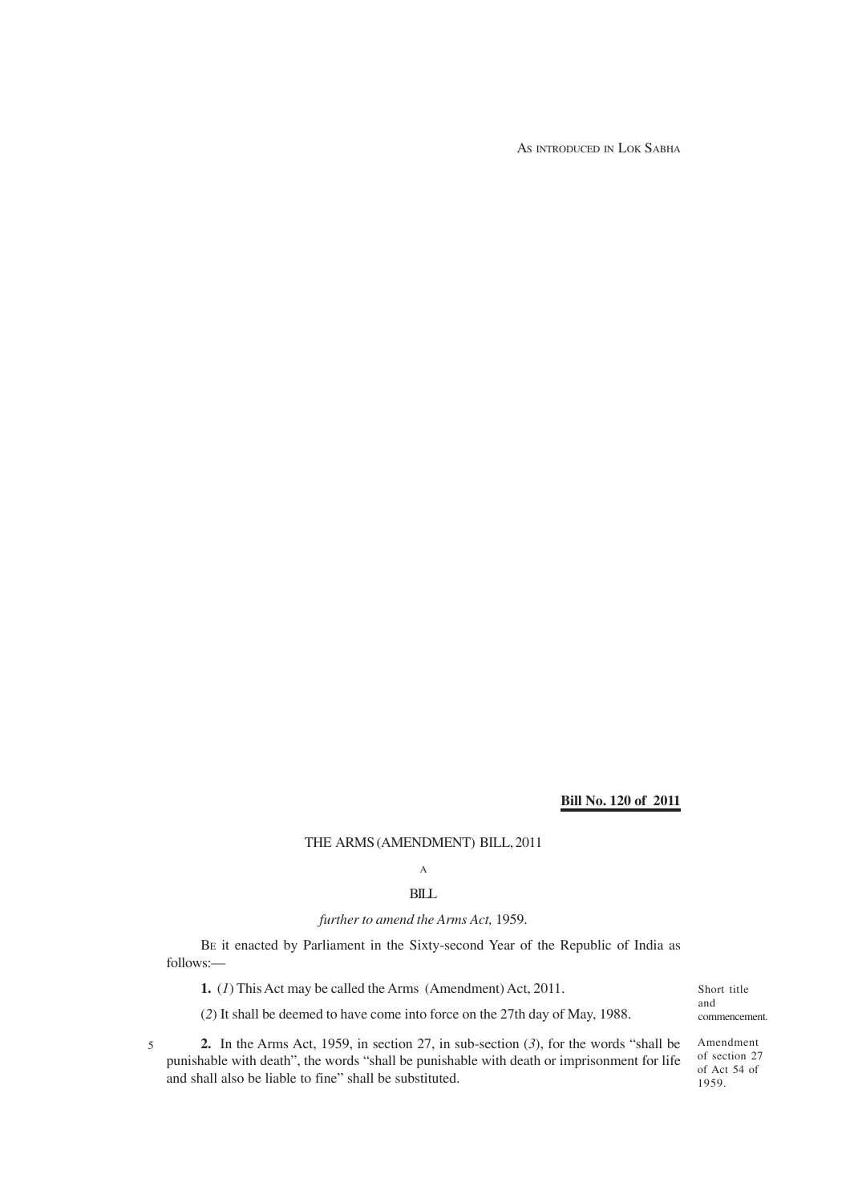AS INTRODUCED IN LOK SABHA

#### **Bill No. 120 of 2011**

THE ARMS (AMENDMENT) BILL, 2011

# A

## BILL

## *further to amend the Arms Act,* 1959.

BE it enacted by Parliament in the Sixty-second Year of the Republic of India as follows:—

**1.** (*1*) This Act may be called the Arms (Amendment) Act, 2011.

Short title and commencement.

**2.** In the Arms Act, 1959, in section 27, in sub-section (*3*), for the words "shall be punishable with death", the words "shall be punishable with death or imprisonment for life and shall also be liable to fine" shall be substituted. 5

(*2*) It shall be deemed to have come into force on the 27th day of May, 1988.

Amendment of section 27 of Act 54 of 1959.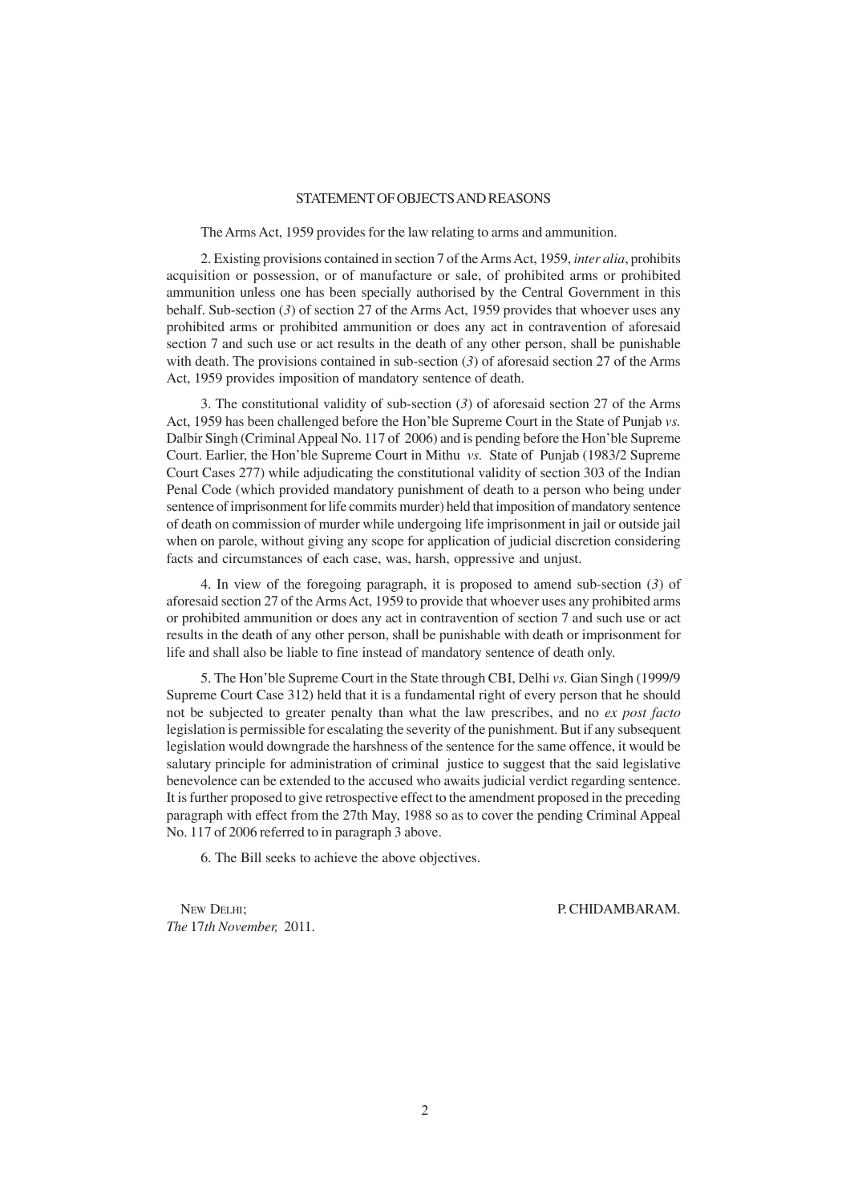#### STATEMENT OF OBJECTS AND REASONS

The Arms Act, 1959 provides for the law relating to arms and ammunition.

2. Existing provisions contained in section 7 of the Arms Act, 1959, *inter alia*, prohibits acquisition or possession, or of manufacture or sale, of prohibited arms or prohibited ammunition unless one has been specially authorised by the Central Government in this behalf. Sub-section (*3*) of section 27 of the Arms Act, 1959 provides that whoever uses any prohibited arms or prohibited ammunition or does any act in contravention of aforesaid section 7 and such use or act results in the death of any other person, shall be punishable with death. The provisions contained in sub-section (*3*) of aforesaid section 27 of the Arms Act, 1959 provides imposition of mandatory sentence of death.

3. The constitutional validity of sub-section (*3*) of aforesaid section 27 of the Arms Act, 1959 has been challenged before the Hon'ble Supreme Court in the State of Punjab *vs.* Dalbir Singh (Criminal Appeal No. 117 of 2006) and is pending before the Hon'ble Supreme Court. Earlier, the Hon'ble Supreme Court in Mithu *vs.* State of Punjab (1983/2 Supreme Court Cases 277) while adjudicating the constitutional validity of section 303 of the Indian Penal Code (which provided mandatory punishment of death to a person who being under sentence of imprisonment for life commits murder) held that imposition of mandatory sentence of death on commission of murder while undergoing life imprisonment in jail or outside jail when on parole, without giving any scope for application of judicial discretion considering facts and circumstances of each case, was, harsh, oppressive and unjust.

4. In view of the foregoing paragraph, it is proposed to amend sub-section (*3*) of aforesaid section 27 of the Arms Act, 1959 to provide that whoever uses any prohibited arms or prohibited ammunition or does any act in contravention of section 7 and such use or act results in the death of any other person, shall be punishable with death or imprisonment for life and shall also be liable to fine instead of mandatory sentence of death only.

5. The Hon'ble Supreme Court in the State through CBI, Delhi *vs.* Gian Singh (1999/9 Supreme Court Case 312) held that it is a fundamental right of every person that he should not be subjected to greater penalty than what the law prescribes, and no *ex post facto* legislation is permissible for escalating the severity of the punishment. But if any subsequent legislation would downgrade the harshness of the sentence for the same offence, it would be salutary principle for administration of criminal justice to suggest that the said legislative benevolence can be extended to the accused who awaits judicial verdict regarding sentence. It is further proposed to give retrospective effect to the amendment proposed in the preceding paragraph with effect from the 27th May, 1988 so as to cover the pending Criminal Appeal No. 117 of 2006 referred to in paragraph 3 above.

6. The Bill seeks to achieve the above objectives.

NEW DELHI; P. CHIDAMBARAM. *The* 17*th November,* 2011.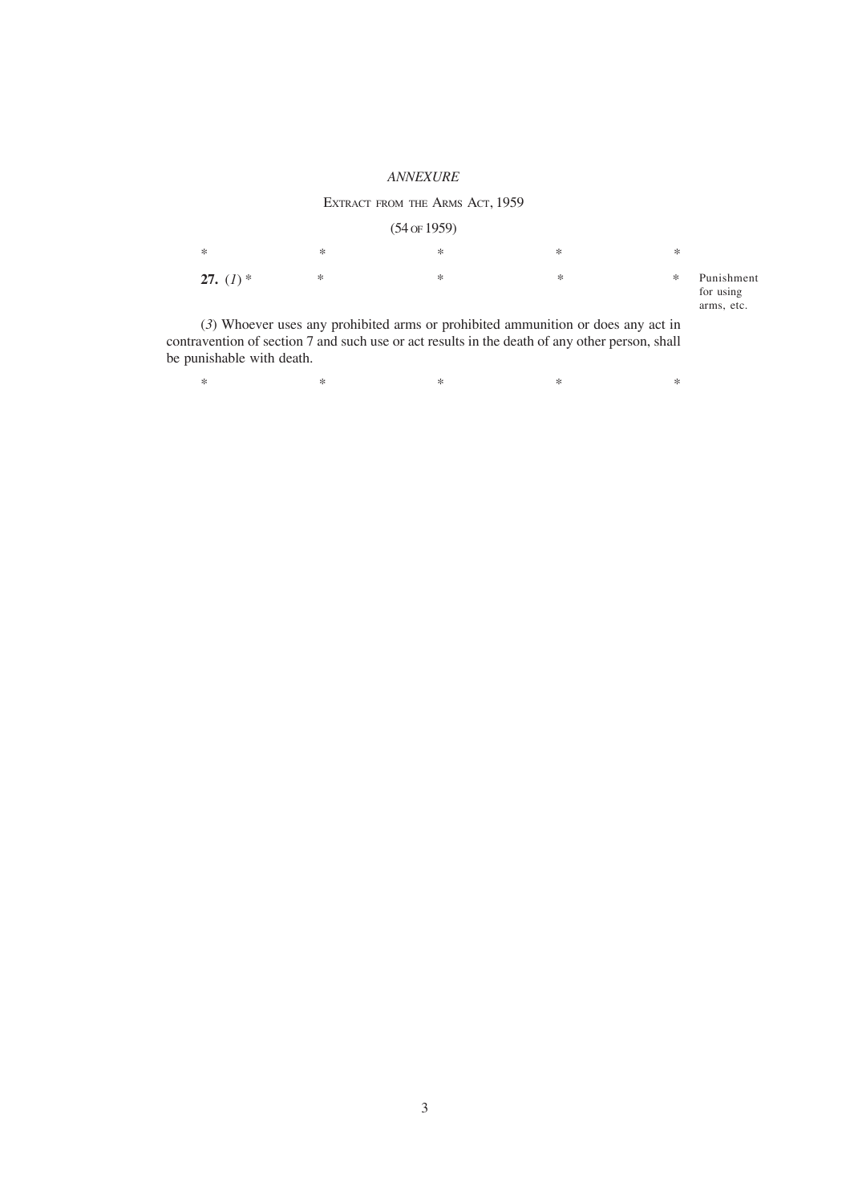#### *ANNEXURE*

### EXTRACT FROM THE ARMS ACT, 1959

### (54 OF 1959)

| $\ast$      | ∗ | * | ∗ | ∗ |                                       |
|-------------|---|---|---|---|---------------------------------------|
| 27. $(I)$ * | ∗ | ∗ | ∗ | ∗ | Punishment<br>for using<br>arms, etc. |

(*3*) Whoever uses any prohibited arms or prohibited ammunition or does any act in contravention of section 7 and such use or act results in the death of any other person, shall be punishable with death.

 $*$  \*  $*$  \*  $*$  \*  $*$  \*